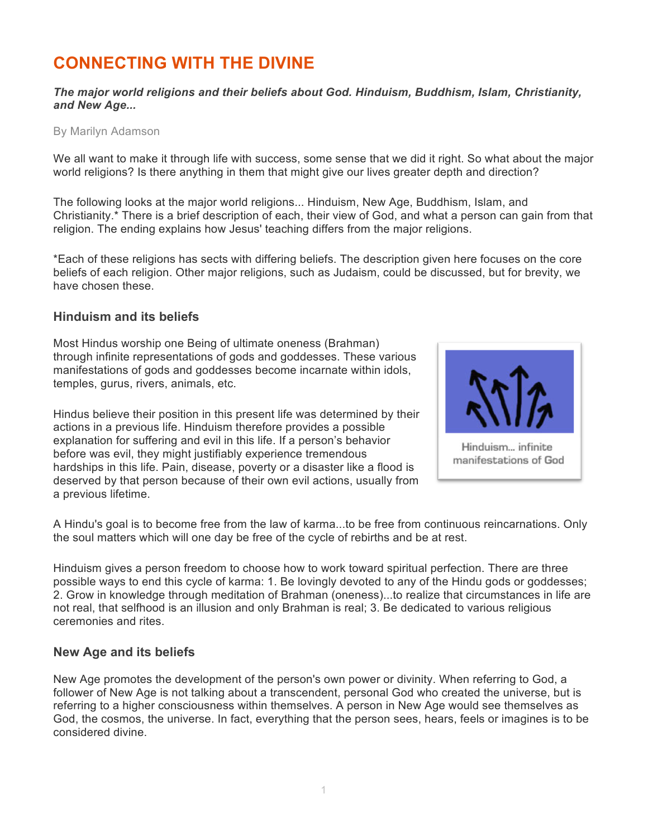# **CONNECTING WITH THE DIVINE**

*The major world religions and their beliefs about God. Hinduism, Buddhism, Islam, Christianity, and New Age...*

By Marilyn Adamson

We all want to make it through life with success, some sense that we did it right. So what about the major world religions? Is there anything in them that might give our lives greater depth and direction?

The following looks at the major world religions... Hinduism, New Age, Buddhism, Islam, and Christianity.\* There is a brief description of each, their view of God, and what a person can gain from that religion. The ending explains how Jesus' teaching differs from the major religions.

\*Each of these religions has sects with differing beliefs. The description given here focuses on the core beliefs of each religion. Other major religions, such as Judaism, could be discussed, but for brevity, we have chosen these.

# **Hinduism and its beliefs**

Most Hindus worship one Being of ultimate oneness (Brahman) through infinite representations of gods and goddesses. These various manifestations of gods and goddesses become incarnate within idols, temples, gurus, rivers, animals, etc.

Hindus believe their position in this present life was determined by their actions in a previous life. Hinduism therefore provides a possible explanation for suffering and evil in this life. If a person's behavior before was evil, they might justifiably experience tremendous hardships in this life. Pain, disease, poverty or a disaster like a flood is deserved by that person because of their own evil actions, usually from a previous lifetime.



A Hindu's goal is to become free from the law of karma...to be free from continuous reincarnations. Only the soul matters which will one day be free of the cycle of rebirths and be at rest.

Hinduism gives a person freedom to choose how to work toward spiritual perfection. There are three possible ways to end this cycle of karma: 1. Be lovingly devoted to any of the Hindu gods or goddesses; 2. Grow in knowledge through meditation of Brahman (oneness)...to realize that circumstances in life are not real, that selfhood is an illusion and only Brahman is real; 3. Be dedicated to various religious ceremonies and rites.

# **New Age and its beliefs**

New Age promotes the development of the person's own power or divinity. When referring to God, a follower of New Age is not talking about a transcendent, personal God who created the universe, but is referring to a higher consciousness within themselves. A person in New Age would see themselves as God, the cosmos, the universe. In fact, everything that the person sees, hears, feels or imagines is to be considered divine.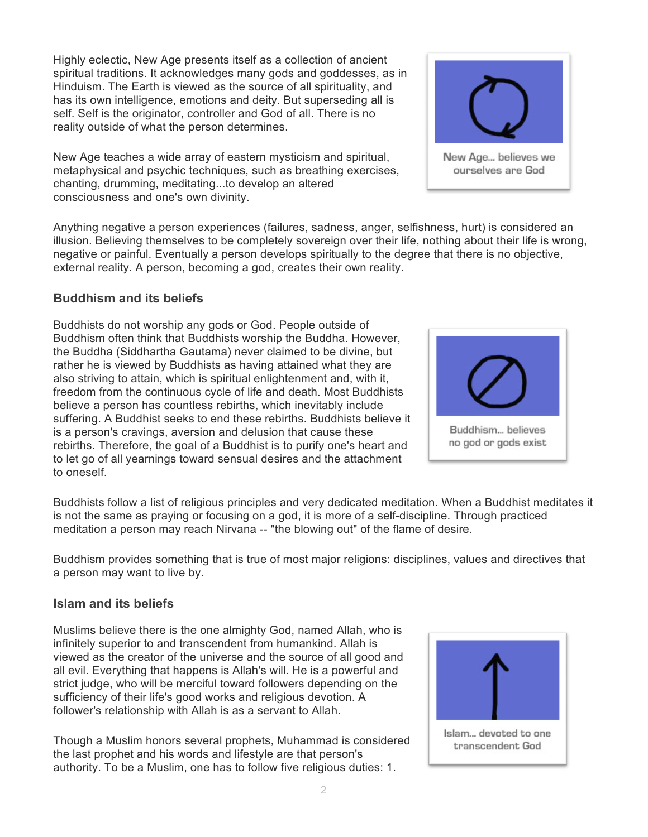Highly eclectic, New Age presents itself as a collection of ancient spiritual traditions. It acknowledges many gods and goddesses, as in Hinduism. The Earth is viewed as the source of all spirituality, and has its own intelligence, emotions and deity. But superseding all is self. Self is the originator, controller and God of all. There is no reality outside of what the person determines.

New Age teaches a wide array of eastern mysticism and spiritual, metaphysical and psychic techniques, such as breathing exercises, chanting, drumming, meditating...to develop an altered consciousness and one's own divinity.

Anything negative a person experiences (failures, sadness, anger, selfishness, hurt) is considered an illusion. Believing themselves to be completely sovereign over their life, nothing about their life is wrong, negative or painful. Eventually a person develops spiritually to the degree that there is no objective, external reality. A person, becoming a god, creates their own reality.

# **Buddhism and its beliefs**

Buddhists do not worship any gods or God. People outside of Buddhism often think that Buddhists worship the Buddha. However, the Buddha (Siddhartha Gautama) never claimed to be divine, but rather he is viewed by Buddhists as having attained what they are also striving to attain, which is spiritual enlightenment and, with it, freedom from the continuous cycle of life and death. Most Buddhists believe a person has countless rebirths, which inevitably include suffering. A Buddhist seeks to end these rebirths. Buddhists believe it is a person's cravings, aversion and delusion that cause these rebirths. Therefore, the goal of a Buddhist is to purify one's heart and to let go of all yearnings toward sensual desires and the attachment to oneself.

Buddhists follow a list of religious principles and very dedicated meditation. When a Buddhist meditates it is not the same as praying or focusing on a god, it is more of a self-discipline. Through practiced meditation a person may reach Nirvana -- "the blowing out" of the flame of desire.

Buddhism provides something that is true of most major religions: disciplines, values and directives that a person may want to live by.

# **Islam and its beliefs**

Muslims believe there is the one almighty God, named Allah, who is infinitely superior to and transcendent from humankind. Allah is viewed as the creator of the universe and the source of all good and all evil. Everything that happens is Allah's will. He is a powerful and strict judge, who will be merciful toward followers depending on the sufficiency of their life's good works and religious devotion. A follower's relationship with Allah is as a servant to Allah.

Though a Muslim honors several prophets, Muhammad is considered the last prophet and his words and lifestyle are that person's authority. To be a Muslim, one has to follow five religious duties: 1.





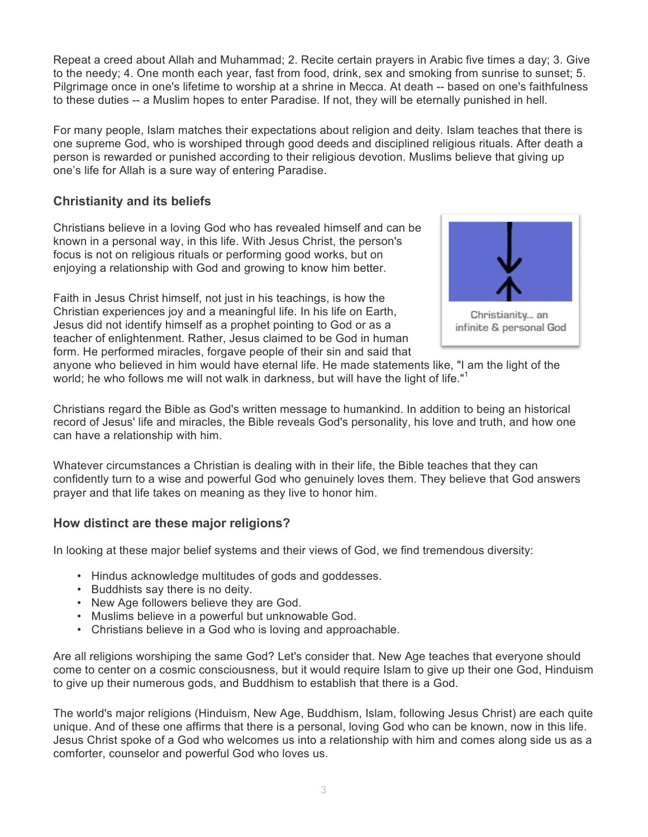Repeat a creed about Allah and Muhammad; 2. Recite certain prayers in Arabic five times a day; 3. Give to the needy; 4. One month each year, fast from food, drink, sex and smoking from sunrise to sunset; 5. Pilgrimage once in one's lifetime to worship at a shrine in Mecca. At death -- based on one's faithfulness to these duties -- a Muslim hopes to enter Paradise. If not, they will be eternally punished in hell.

For many people, Islam matches their expectations about religion and deity. Islam teaches that there is one supreme God, who is worshiped through good deeds and disciplined religious rituals. After death a person is rewarded or punished according to their religious devotion. Muslims believe that giving up one's life for Allah is a sure way of entering Paradise.

# **Christianity and its beliefs**

Christians believe in a loving God who has revealed himself and can be known in a personal way, in this life. With Jesus Christ, the person's focus is not on religious rituals or performing good works, but on enjoying a relationship with God and growing to know him better.

Faith in Jesus Christ himself, not just in his teachings, is how the Christian experiences joy and a meaningful life. In his life on Earth, Jesus did not identify himself as a prophet pointing to God or as a teacher of enlightenment. Rather, Jesus claimed to be God in human form. He performed miracles, forgave people of their sin and said that



anyone who believed in him would have eternal life. He made statements like, "I am the light of the world; he who follows me will not walk in darkness, but will have the light of life."<sup>1</sup>

Christians regard the Bible as God's written message to humankind. In addition to being an historical record of Jesus' life and miracles, the Bible reveals God's personality, his love and truth, and how one can have a relationship with him.

Whatever circumstances a Christian is dealing with in their life, the Bible teaches that they can confidently turn to a wise and powerful God who genuinely loves them. They believe that God answers prayer and that life takes on meaning as they live to honor him.

# **How distinct are these major religions?**

In looking at these major belief systems and their views of God, we find tremendous diversity:

- Hindus acknowledge multitudes of gods and goddesses.
- Buddhists say there is no deity.
- New Age followers believe they are God.
- Muslims believe in a powerful but unknowable God.
- Christians believe in a God who is loving and approachable.

Are all religions worshiping the same God? Let's consider that. New Age teaches that everyone should come to center on a cosmic consciousness, but it would require Islam to give up their one God, Hinduism to give up their numerous gods, and Buddhism to establish that there is a God.

The world's major religions (Hinduism, New Age, Buddhism, Islam, following Jesus Christ) are each quite unique. And of these one affirms that there is a personal, loving God who can be known, now in this life. Jesus Christ spoke of a God who welcomes us into a relationship with him and comes along side us as a comforter, counselor and powerful God who loves us.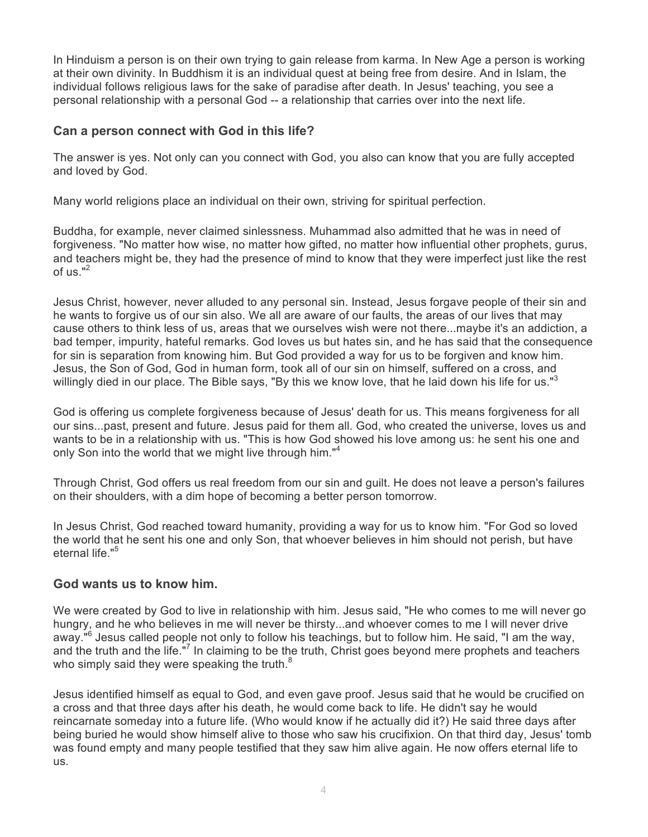In Hinduism a person is on their own trying to gain release from karma. In New Age a person is working at their own divinity. In Buddhism it is an individual quest at being free from desire. And in Islam, the individual follows religious laws for the sake of paradise after death. In Jesus' teaching, you see a personal relationship with a personal God -- a relationship that carries over into the next life.

# **Can a person connect with God in this life?**

The answer is yes. Not only can you connect with God, you also can know that you are fully accepted and loved by God.

Many world religions place an individual on their own, striving for spiritual perfection.

Buddha, for example, never claimed sinlessness. Muhammad also admitted that he was in need of forgiveness. "No matter how wise, no matter how gifted, no matter how influential other prophets, gurus, and teachers might be, they had the presence of mind to know that they were imperfect just like the rest of us. $"2$ 

Jesus Christ, however, never alluded to any personal sin. Instead, Jesus forgave people of their sin and he wants to forgive us of our sin also. We all are aware of our faults, the areas of our lives that may cause others to think less of us, areas that we ourselves wish were not there...maybe it's an addiction, a bad temper, impurity, hateful remarks. God loves us but hates sin, and he has said that the consequence for sin is separation from knowing him. But God provided a way for us to be forgiven and know him. Jesus, the Son of God, God in human form, took all of our sin on himself, suffered on a cross, and willingly died in our place. The Bible says, "By this we know love, that he laid down his life for us."<sup>3</sup>

God is offering us complete forgiveness because of Jesus' death for us. This means forgiveness for all our sins...past, present and future. Jesus paid for them all. God, who created the universe, loves us and wants to be in a relationship with us. "This is how God showed his love among us: he sent his one and only Son into the world that we might live through him."<sup>4</sup>

Through Christ, God offers us real freedom from our sin and guilt. He does not leave a person's failures on their shoulders, with a dim hope of becoming a better person tomorrow.

In Jesus Christ, God reached toward humanity, providing a way for us to know him. "For God so loved the world that he sent his one and only Son, that whoever believes in him should not perish, but have eternal life."<sup>5</sup>

#### **God wants us to know him.**

We were created by God to live in relationship with him. Jesus said, "He who comes to me will never go hungry, and he who believes in me will never be thirsty...and whoever comes to me I will never drive away."<sup>6</sup> Jesus called people not only to follow his teachings, but to follow him. He said, "I am the way, and the truth and the life."<sup>7</sup> In claiming to be the truth, Christ goes beyond mere prophets and teachers who simply said they were speaking the truth.<sup>8</sup>

Jesus identified himself as equal to God, and even gave proof. Jesus said that he would be crucified on a cross and that three days after his death, he would come back to life. He didn't say he would reincarnate someday into a future life. (Who would know if he actually did it?) He said three days after being buried he would show himself alive to those who saw his crucifixion. On that third day, Jesus' tomb was found empty and many people testified that they saw him alive again. He now offers eternal life to us.